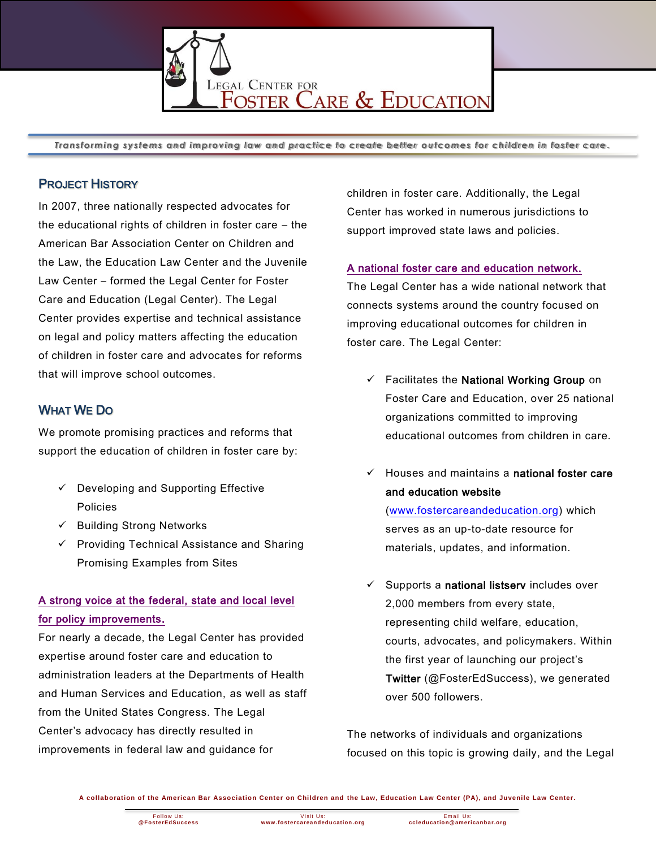

*Transforming systems and improving law and practice to create better outcomes for children in foster care* **.**

### PROJECT HISTORY

In 2007, three nationally respected advocates for the educational rights of children in foster care – the American Bar Association Center on Children and the Law, the Education Law Center and the Juvenile Law Center – formed the Legal Center for Foster Care and Education (Legal Center). The Legal Center provides expertise and technical assistance on legal and policy matters affecting the education of children in foster care and advocates for reforms that will improve school outcomes.

## WHAT WE DO

We promote promising practices and reforms that support the education of children in foster care by:

- $\checkmark$  Developing and Supporting Effective Policies
- $\checkmark$  Building Strong Networks
- $\checkmark$  Providing Technical Assistance and Sharing Promising Examples from Sites

## A strong voice at the federal, state and local level for policy improvements.

For nearly a decade, the Legal Center has provided expertise around foster care and education to administration leaders at the Departments of Health and Human Services and Education, as well as staff from the United States Congress. The Legal Center's advocacy has directly resulted in improvements in federal law and guidance for

children in foster care. Additionally, the Legal Center has worked in numerous jurisdictions to support improved state laws and policies.

#### A national foster care and education network.

The Legal Center has a wide national network that connects systems around the country focused on improving educational outcomes for children in foster care. The Legal Center:

- $\checkmark$  Facilitates the National Working Group on Foster Care and Education, over 25 national organizations committed to improving educational outcomes from children in care.
- $\checkmark$  Houses and maintains a national foster care and education website

[\(www.fostercareandeducation.org\)](http://www.fostercareandeducation.org/) which serves as an up-to-date resource for materials, updates, and information.

 $\checkmark$  Supports a national listserv includes over 2,000 members from every state, representing child welfare, education, courts, advocates, and policymakers. Within the first year of launching our project's Twitter (@FosterEdSuccess), we generated over 500 followers.

The networks of individuals and organizations focused on this topic is growing daily, and the Legal

**A collaboration of the American Bar Association Center on Children and the Law, Education Law Center (PA), and Juvenile Law Center.**